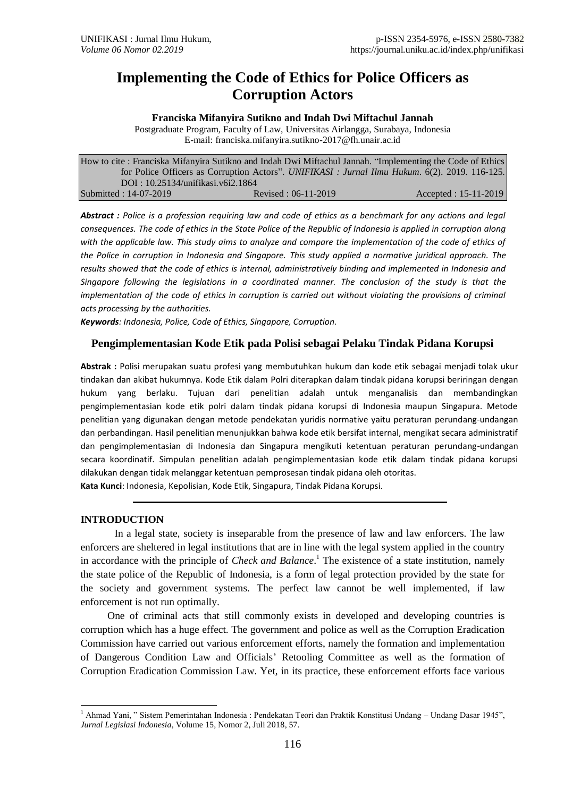# **Implementing the Code of Ethics for Police Officers as Corruption Actors**

**Franciska Mifanyira Sutikno and Indah Dwi Miftachul Jannah**

Postgraduate Program, Faculty of Law, Universitas Airlangga, Surabaya, Indonesia E-mail: franciska.mifanyira.sutikno-2017@fh.unair.ac.id

| How to cite: Franciska Mifanyira Sutikno and Indah Dwi Miftachul Jannah. "Implementing the Code of Ethics |                     |                                                                                               |
|-----------------------------------------------------------------------------------------------------------|---------------------|-----------------------------------------------------------------------------------------------|
|                                                                                                           |                     | for Police Officers as Corruption Actors". UNIFIKASI: Jurnal Ilmu Hukum. 6(2). 2019. 116-125. |
| DOI: 10.25134/unifikasi.v6i2.1864                                                                         |                     |                                                                                               |
| Submitted: 14-07-2019                                                                                     | Revised: 06-11-2019 | $Accepted: 15-11-2019$                                                                        |

*Abstract : Police is a profession requiring law and code of ethics as a benchmark for any actions and legal consequences. The code of ethics in the State Police of the Republic of Indonesia is applied in corruption along*  with the applicable law. This study aims to analyze and compare the implementation of the code of ethics of *the Police in corruption in Indonesia and Singapore. This study applied a normative juridical approach. The results showed that the code of ethics is internal, administratively binding and implemented in Indonesia and Singapore following the legislations in a coordinated manner. The conclusion of the study is that the implementation of the code of ethics in corruption is carried out without violating the provisions of criminal acts processing by the authorities.*

*Keywords: Indonesia, Police, Code of Ethics, Singapore, Corruption.*

### **Pengimplementasian Kode Etik pada Polisi sebagai Pelaku Tindak Pidana Korupsi**

**Abstrak :** Polisi merupakan suatu profesi yang membutuhkan hukum dan kode etik sebagai menjadi tolak ukur tindakan dan akibat hukumnya. Kode Etik dalam Polri diterapkan dalam tindak pidana korupsi beriringan dengan hukum yang berlaku. Tujuan dari penelitian adalah untuk menganalisis dan membandingkan pengimplementasian kode etik polri dalam tindak pidana korupsi di Indonesia maupun Singapura. Metode penelitian yang digunakan dengan metode pendekatan yuridis normative yaitu peraturan perundang-undangan dan perbandingan. Hasil penelitian menunjukkan bahwa kode etik bersifat internal, mengikat secara administratif dan pengimplementasian di Indonesia dan Singapura mengikuti ketentuan peraturan perundang-undangan secara koordinatif. Simpulan penelitian adalah pengimplementasian kode etik dalam tindak pidana korupsi dilakukan dengan tidak melanggar ketentuan pemprosesan tindak pidana oleh otoritas. **Kata Kunci**: Indonesia, Kepolisian, Kode Etik, Singapura, Tindak Pidana Korupsi*.*

**INTRODUCTION**

In a legal state, society is inseparable from the presence of law and law enforcers. The law enforcers are sheltered in legal institutions that are in line with the legal system applied in the country in accordance with the principle of *Check and Balance*. <sup>1</sup> The existence of a state institution, namely the state police of the Republic of Indonesia, is a form of legal protection provided by the state for the society and government systems. The perfect law cannot be well implemented, if law enforcement is not run optimally.

One of criminal acts that still commonly exists in developed and developing countries is corruption which has a huge effect. The government and police as well as the Corruption Eradication Commission have carried out various enforcement efforts, namely the formation and implementation of Dangerous Condition Law and Officials' Retooling Committee as well as the formation of Corruption Eradication Commission Law. Yet, in its practice, these enforcement efforts face various

<sup>1</sup> <sup>1</sup> Ahmad Yani, " Sistem Pemerintahan Indonesia : Pendekatan Teori dan Praktik Konstitusi Undang – Undang Dasar 1945", *Jurnal Legislasi Indonesia*, Volume 15, Nomor 2, Juli 2018, 57.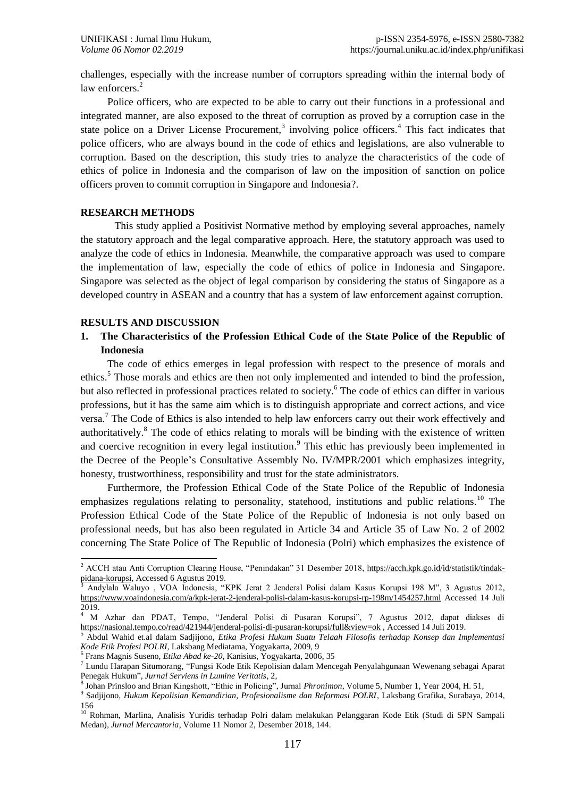challenges, especially with the increase number of corruptors spreading within the internal body of law enforcers.<sup>2</sup>

Police officers, who are expected to be able to carry out their functions in a professional and integrated manner, are also exposed to the threat of corruption as proved by a corruption case in the state police on a Driver License Procurement,<sup>3</sup> involving police officers.<sup>4</sup> This fact indicates that police officers, who are always bound in the code of ethics and legislations, are also vulnerable to corruption. Based on the description, this study tries to analyze the characteristics of the code of ethics of police in Indonesia and the comparison of law on the imposition of sanction on police officers proven to commit corruption in Singapore and Indonesia?.

#### **RESEARCH METHODS**

This study applied a Positivist Normative method by employing several approaches, namely the statutory approach and the legal comparative approach. Here, the statutory approach was used to analyze the code of ethics in Indonesia. Meanwhile, the comparative approach was used to compare the implementation of law, especially the code of ethics of police in Indonesia and Singapore. Singapore was selected as the object of legal comparison by considering the status of Singapore as a developed country in ASEAN and a country that has a system of law enforcement against corruption.

#### **RESULTS AND DISCUSSION**

1

## **1. The Characteristics of the Profession Ethical Code of the State Police of the Republic of Indonesia**

The code of ethics emerges in legal profession with respect to the presence of morals and ethics.<sup>5</sup> Those morals and ethics are then not only implemented and intended to bind the profession, but also reflected in professional practices related to society. <sup>6</sup> The code of ethics can differ in various professions, but it has the same aim which is to distinguish appropriate and correct actions, and vice versa.<sup>7</sup> The Code of Ethics is also intended to help law enforcers carry out their work effectively and authoritatively.<sup>8</sup> The code of ethics relating to morals will be binding with the existence of written and coercive recognition in every legal institution.<sup>9</sup> This ethic has previously been implemented in the Decree of the People's Consultative Assembly No. IV/MPR/2001 which emphasizes integrity, honesty, trustworthiness, responsibility and trust for the state administrators.

Furthermore, the Profession Ethical Code of the State Police of the Republic of Indonesia emphasizes regulations relating to personality, statehood, institutions and public relations.<sup>10</sup> The Profession Ethical Code of the State Police of the Republic of Indonesia is not only based on professional needs, but has also been regulated in Article 34 and Article 35 of Law No. 2 of 2002 concerning The State Police of The Republic of Indonesia (Polri) which emphasizes the existence of

<sup>&</sup>lt;sup>2</sup> ACCH atau Anti Corruption Clearing House, "Penindakan" 31 Desember 2018, [https://acch.kpk.go.id/id/statistik/tindak](https://acch.kpk.go.id/id/statistik/tindak-pidana-korupsi)[pidana-korupsi,](https://acch.kpk.go.id/id/statistik/tindak-pidana-korupsi) Accessed 6 Agustus 2019.

<sup>3</sup> Andylala Waluyo , VOA Indonesia, "KPK Jerat 2 Jenderal Polisi dalam Kasus Korupsi 198 M", 3 Agustus 2012, <https://www.voaindonesia.com/a/kpk-jerat-2-jenderal-polisi-dalam-kasus-korupsi-rp-198m/1454257.html> Accessed 14 Juli 2019.

<sup>4</sup> M Azhar dan PDAT, Tempo, "Jenderal Polisi di Pusaran Korupsi", 7 Agustus 2012, dapat diakses di <https://nasional.tempo.co/read/421944/jenderal-polisi-di-pusaran-korupsi/full&view=ok> , Accessed 14 Juli 2019.

<sup>5</sup> Abdul Wahid et.al dalam Sadjijono, *Etika Profesi Hukum Suatu Telaah Filosofis terhadap Konsep dan Implementasi Kode Etik Profesi POLRI,* Laksbang Mediatama, Yogyakarta, 2009, 9

<sup>6</sup> Frans Magnis Suseno, *Etika Abad ke-20*, Kanisius, Yogyakarta, 2006, 35

<sup>7</sup> Lundu Harapan Situmorang, "Fungsi Kode Etik Kepolisian dalam Mencegah Penyalahgunaan Wewenang sebagai Aparat Penegak Hukum", *Jurnal Serviens in Lumine Veritatis*, 2,

<sup>8</sup> Johan Prinsloo and Brian Kingshott, "Ethic in Policing", Jurnal *Phronimon*, Volume 5, Number 1, Year 2004, H. 51,

<sup>9</sup> Sadjijono, *Hukum Kepolisian Kemandirian, Profesionalisme dan Reformasi POLRI*, Laksbang Grafika, Surabaya, 2014, 156

<sup>&</sup>lt;sup>10</sup> Rohman, Marlina, Analisis Yuridis terhadap Polri dalam melakukan Pelanggaran Kode Etik (Studi di SPN Sampali Medan), *Jurnal Mercantoria*, Volume 11 Nomor 2, Desember 2018, 144.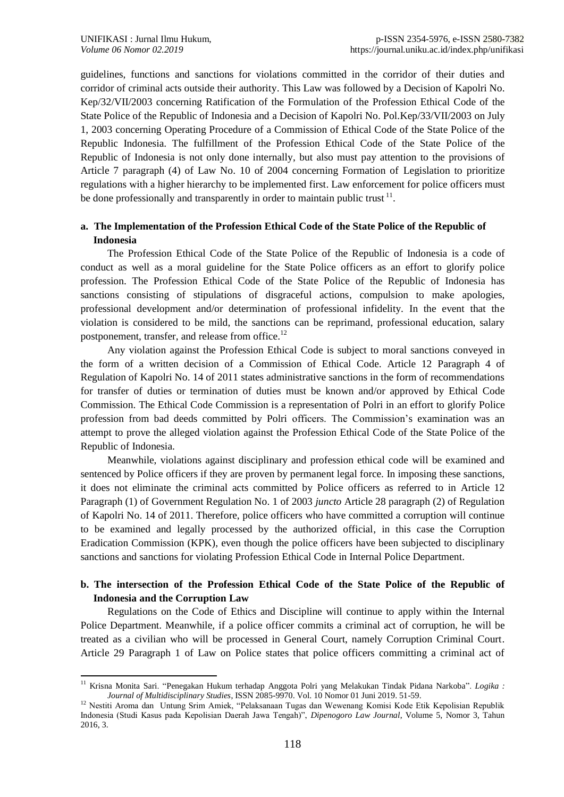guidelines, functions and sanctions for violations committed in the corridor of their duties and corridor of criminal acts outside their authority. This Law was followed by a Decision of Kapolri No. Kep/32/VII/2003 concerning Ratification of the Formulation of the Profession Ethical Code of the State Police of the Republic of Indonesia and a Decision of Kapolri No. Pol.Kep/33/VII/2003 on July 1, 2003 concerning Operating Procedure of a Commission of Ethical Code of the State Police of the Republic Indonesia. The fulfillment of the Profession Ethical Code of the State Police of the Republic of Indonesia is not only done internally, but also must pay attention to the provisions of Article 7 paragraph (4) of Law No. 10 of 2004 concerning Formation of Legislation to prioritize regulations with a higher hierarchy to be implemented first. Law enforcement for police officers must be done professionally and transparently in order to maintain public trust  $11$ .

## **a. The Implementation of the Profession Ethical Code of the State Police of the Republic of Indonesia**

The Profession Ethical Code of the State Police of the Republic of Indonesia is a code of conduct as well as a moral guideline for the State Police officers as an effort to glorify police profession. The Profession Ethical Code of the State Police of the Republic of Indonesia has sanctions consisting of stipulations of disgraceful actions, compulsion to make apologies, professional development and/or determination of professional infidelity. In the event that the violation is considered to be mild, the sanctions can be reprimand, professional education, salary postponement, transfer, and release from office.<sup>12</sup>

Any violation against the Profession Ethical Code is subject to moral sanctions conveyed in the form of a written decision of a Commission of Ethical Code. Article 12 Paragraph 4 of Regulation of Kapolri No. 14 of 2011 states administrative sanctions in the form of recommendations for transfer of duties or termination of duties must be known and/or approved by Ethical Code Commission. The Ethical Code Commission is a representation of Polri in an effort to glorify Police profession from bad deeds committed by Polri officers. The Commission's examination was an attempt to prove the alleged violation against the Profession Ethical Code of the State Police of the Republic of Indonesia.

Meanwhile, violations against disciplinary and profession ethical code will be examined and sentenced by Police officers if they are proven by permanent legal force. In imposing these sanctions, it does not eliminate the criminal acts committed by Police officers as referred to in Article 12 Paragraph (1) of Government Regulation No. 1 of 2003 *juncto* Article 28 paragraph (2) of Regulation of Kapolri No. 14 of 2011. Therefore, police officers who have committed a corruption will continue to be examined and legally processed by the authorized official, in this case the Corruption Eradication Commission (KPK), even though the police officers have been subjected to disciplinary sanctions and sanctions for violating Profession Ethical Code in Internal Police Department.

## **b. The intersection of the Profession Ethical Code of the State Police of the Republic of Indonesia and the Corruption Law**

Regulations on the Code of Ethics and Discipline will continue to apply within the Internal Police Department. Meanwhile, if a police officer commits a criminal act of corruption, he will be treated as a civilian who will be processed in General Court, namely Corruption Criminal Court. Article 29 Paragraph 1 of Law on Police states that police officers committing a criminal act of

 $\overline{a}$ <sup>11</sup> Krisna Monita Sari. "Penegakan Hukum terhadap Anggota Polri yang Melakukan Tindak Pidana Narkoba". *Logika : Journal of Multidisciplinary Studies*, ISSN 2085-9970. Vol. 10 Nomor 01 Juni 2019. 51-59.

<sup>&</sup>lt;sup>12</sup> Nestiti Aroma dan Untung Srim Amiek, "Pelaksanaan Tugas dan Wewenang Komisi Kode Etik Kepolisian Republik Indonesia (Studi Kasus pada Kepolisian Daerah Jawa Tengah)", *Dipenogoro Law Journal*, Volume 5, Nomor 3, Tahun 2016, 3.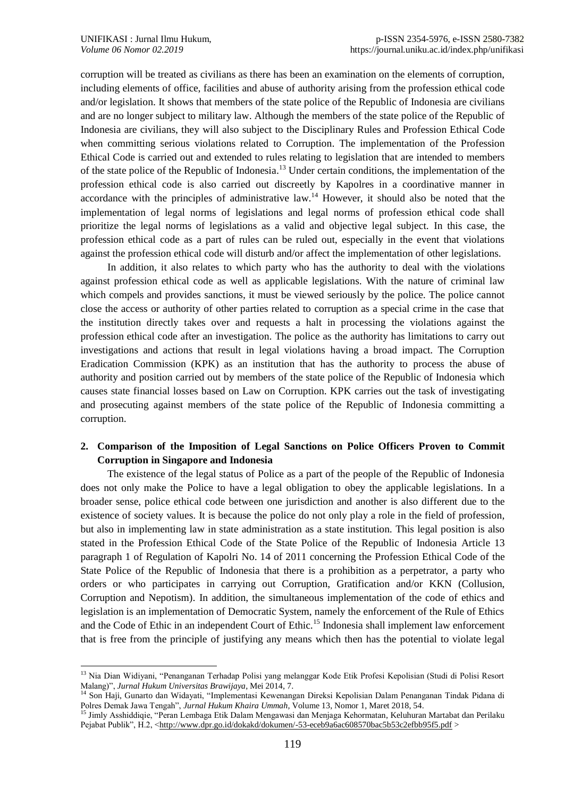$\overline{a}$ 

corruption will be treated as civilians as there has been an examination on the elements of corruption, including elements of office, facilities and abuse of authority arising from the profession ethical code and/or legislation. It shows that members of the state police of the Republic of Indonesia are civilians and are no longer subject to military law. Although the members of the state police of the Republic of Indonesia are civilians, they will also subject to the Disciplinary Rules and Profession Ethical Code when committing serious violations related to Corruption. The implementation of the Profession Ethical Code is carried out and extended to rules relating to legislation that are intended to members of the state police of the Republic of Indonesia.<sup>13</sup> Under certain conditions, the implementation of the profession ethical code is also carried out discreetly by Kapolres in a coordinative manner in accordance with the principles of administrative  $law$ <sup>14</sup>. However, it should also be noted that the implementation of legal norms of legislations and legal norms of profession ethical code shall prioritize the legal norms of legislations as a valid and objective legal subject. In this case, the profession ethical code as a part of rules can be ruled out, especially in the event that violations against the profession ethical code will disturb and/or affect the implementation of other legislations.

In addition, it also relates to which party who has the authority to deal with the violations against profession ethical code as well as applicable legislations. With the nature of criminal law which compels and provides sanctions, it must be viewed seriously by the police. The police cannot close the access or authority of other parties related to corruption as a special crime in the case that the institution directly takes over and requests a halt in processing the violations against the profession ethical code after an investigation. The police as the authority has limitations to carry out investigations and actions that result in legal violations having a broad impact. The Corruption Eradication Commission (KPK) as an institution that has the authority to process the abuse of authority and position carried out by members of the state police of the Republic of Indonesia which causes state financial losses based on Law on Corruption. KPK carries out the task of investigating and prosecuting against members of the state police of the Republic of Indonesia committing a corruption.

## **2. Comparison of the Imposition of Legal Sanctions on Police Officers Proven to Commit Corruption in Singapore and Indonesia**

The existence of the legal status of Police as a part of the people of the Republic of Indonesia does not only make the Police to have a legal obligation to obey the applicable legislations. In a broader sense, police ethical code between one jurisdiction and another is also different due to the existence of society values. It is because the police do not only play a role in the field of profession, but also in implementing law in state administration as a state institution. This legal position is also stated in the Profession Ethical Code of the State Police of the Republic of Indonesia Article 13 paragraph 1 of Regulation of Kapolri No. 14 of 2011 concerning the Profession Ethical Code of the State Police of the Republic of Indonesia that there is a prohibition as a perpetrator, a party who orders or who participates in carrying out Corruption, Gratification and/or KKN (Collusion, Corruption and Nepotism). In addition, the simultaneous implementation of the code of ethics and legislation is an implementation of Democratic System, namely the enforcement of the Rule of Ethics and the Code of Ethic in an independent Court of Ethic.<sup>15</sup> Indonesia shall implement law enforcement that is free from the principle of justifying any means which then has the potential to violate legal

<sup>&</sup>lt;sup>13</sup> Nia Dian Widiyani, "Penanganan Terhadap Polisi yang melanggar Kode Etik Profesi Kepolisian (Studi di Polisi Resort Malang)", *Jurnal Hukum Universitas Brawijaya*, Mei 2014, 7.

<sup>14</sup> Son Haji, Gunarto dan Widayati, "Implementasi Kewenangan Direksi Kepolisian Dalam Penanganan Tindak Pidana di Polres Demak Jawa Tengah", *Jurnal Hukum Khaira Ummah,* Volume 13, Nomor 1, Maret 2018, 54.

<sup>&</sup>lt;sup>15</sup> Jimly Asshiddiqie, "Peran Lembaga Etik Dalam Mengawasi dan Menjaga Kehormatan, Keluhuran Martabat dan Perilaku Pejabat Publik", H.2, [<http://www.dpr.go.id/dokakd/dokumen/-53-eceb9a6ac608570bac5b53c2efbb95f5.pdf](http://www.dpr.go.id/dokakd/dokumen/-53-eceb9a6ac608570bac5b53c2efbb95f5.pdf) >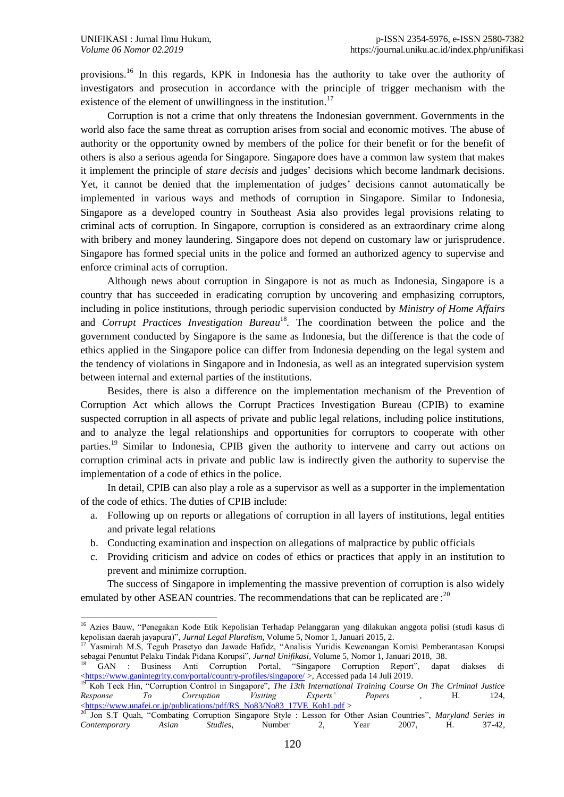1

provisions.<sup>16</sup> In this regards, KPK in Indonesia has the authority to take over the authority of investigators and prosecution in accordance with the principle of trigger mechanism with the existence of the element of unwillingness in the institution.<sup>17</sup>

Corruption is not a crime that only threatens the Indonesian government. Governments in the world also face the same threat as corruption arises from social and economic motives. The abuse of authority or the opportunity owned by members of the police for their benefit or for the benefit of others is also a serious agenda for Singapore. Singapore does have a common law system that makes it implement the principle of *stare decisis* and judges' decisions which become landmark decisions. Yet, it cannot be denied that the implementation of judges' decisions cannot automatically be implemented in various ways and methods of corruption in Singapore. Similar to Indonesia, Singapore as a developed country in Southeast Asia also provides legal provisions relating to criminal acts of corruption. In Singapore, corruption is considered as an extraordinary crime along with bribery and money laundering. Singapore does not depend on customary law or jurisprudence. Singapore has formed special units in the police and formed an authorized agency to supervise and enforce criminal acts of corruption.

Although news about corruption in Singapore is not as much as Indonesia, Singapore is a country that has succeeded in eradicating corruption by uncovering and emphasizing corruptors, including in police institutions, through periodic supervision conducted by *Ministry of Home Affairs* and *Corrupt Practices Investigation Bureau*<sup>18</sup>. The coordination between the police and the government conducted by Singapore is the same as Indonesia, but the difference is that the code of ethics applied in the Singapore police can differ from Indonesia depending on the legal system and the tendency of violations in Singapore and in Indonesia, as well as an integrated supervision system between internal and external parties of the institutions.

Besides, there is also a difference on the implementation mechanism of the Prevention of Corruption Act which allows the Corrupt Practices Investigation Bureau (CPIB) to examine suspected corruption in all aspects of private and public legal relations, including police institutions, and to analyze the legal relationships and opportunities for corruptors to cooperate with other parties.<sup>19</sup> Similar to Indonesia, CPIB given the authority to intervene and carry out actions on corruption criminal acts in private and public law is indirectly given the authority to supervise the implementation of a code of ethics in the police.

In detail, CPIB can also play a role as a supervisor as well as a supporter in the implementation of the code of ethics. The duties of CPIB include:

- a. Following up on reports or allegations of corruption in all layers of institutions, legal entities and private legal relations
- b. Conducting examination and inspection on allegations of malpractice by public officials
- c. Providing criticism and advice on codes of ethics or practices that apply in an institution to prevent and minimize corruption.

The success of Singapore in implementing the massive prevention of corruption is also widely emulated by other ASEAN countries. The recommendations that can be replicated are: $^{20}$ 

<sup>&</sup>lt;sup>16</sup> Azies Bauw, "Penegakan Kode Etik Kepolisian Terhadap Pelanggaran yang dilakukan anggota polisi (studi kasus di kepolisian daerah jayapura)", *Jurnal Legal Pluralism*, Volume 5, Nomor 1, Januari 2015, 2.

<sup>&</sup>lt;sup>17</sup> Yasmirah M.S, Teguh Prasetyo dan Jawade Hafidz, "Analisis Yuridis Kewenangan Komisi Pemberantasan Korupsi sebagai Penuntut Pelaku Tindak Pidana Korupsi", *Jurnal Unifikasi,* Volume 5, Nomor 1, Januari 2018, 38.

<sup>18</sup> GAN : Business Anti Corruption Portal, "Singapore Corruption Report", dapat diakses di [<https://www.ganintegrity.com/portal/country-profiles/singapore/](https://www.ganintegrity.com/portal/country-profiles/singapore/) >, Accessed pada 14 Juli 2019.

<sup>19</sup> Koh Teck Hin, "Corruption Control in Singapore", *The 13th International Training Course On The Criminal Justice Response To Corruption Visiting Experts' Papers* , H. 124, [<https://www.unafei.or.jp/publications/pdf/RS\\_No83/No83\\_17VE\\_Koh1.pdf](https://www.unafei.or.jp/publications/pdf/RS_No83/No83_17VE_Koh1.pdf) >

<sup>20</sup> Jon S.T Quah, "Combating Corruption Singapore Style : Lesson for Other Asian Countries", *Maryland Series in Contemporary Asian Studies*, Number 2, Year 2007, H. 37-42,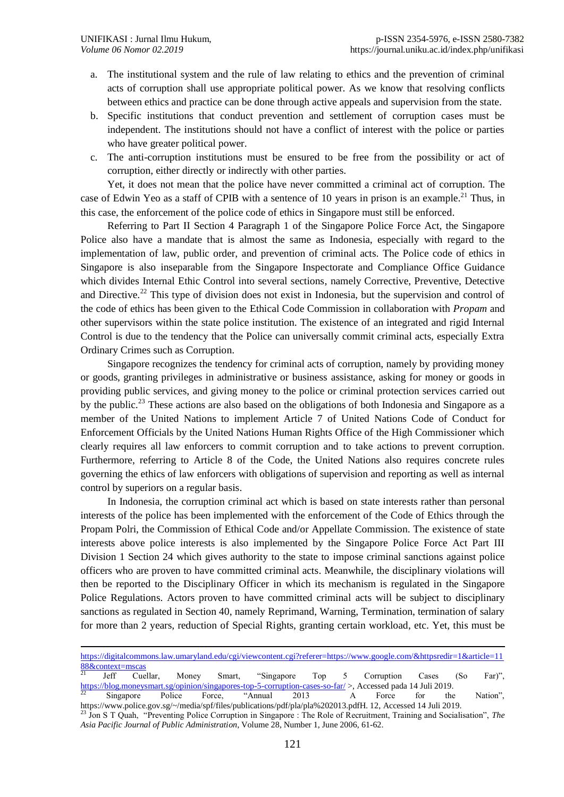$\overline{a}$ 

- a. The institutional system and the rule of law relating to ethics and the prevention of criminal acts of corruption shall use appropriate political power. As we know that resolving conflicts between ethics and practice can be done through active appeals and supervision from the state.
- b. Specific institutions that conduct prevention and settlement of corruption cases must be independent. The institutions should not have a conflict of interest with the police or parties who have greater political power.
- c. The anti-corruption institutions must be ensured to be free from the possibility or act of corruption, either directly or indirectly with other parties.

Yet, it does not mean that the police have never committed a criminal act of corruption. The case of Edwin Yeo as a staff of CPIB with a sentence of 10 years in prison is an example.<sup>21</sup> Thus, in this case, the enforcement of the police code of ethics in Singapore must still be enforced.

Referring to Part II Section 4 Paragraph 1 of the Singapore Police Force Act, the Singapore Police also have a mandate that is almost the same as Indonesia, especially with regard to the implementation of law, public order, and prevention of criminal acts. The Police code of ethics in Singapore is also inseparable from the Singapore Inspectorate and Compliance Office Guidance which divides Internal Ethic Control into several sections, namely Corrective, Preventive, Detective and Directive.<sup>22</sup> This type of division does not exist in Indonesia, but the supervision and control of the code of ethics has been given to the Ethical Code Commission in collaboration with *Propam* and other supervisors within the state police institution. The existence of an integrated and rigid Internal Control is due to the tendency that the Police can universally commit criminal acts, especially Extra Ordinary Crimes such as Corruption.

Singapore recognizes the tendency for criminal acts of corruption, namely by providing money or goods, granting privileges in administrative or business assistance, asking for money or goods in providing public services, and giving money to the police or criminal protection services carried out by the public.<sup>23</sup> These actions are also based on the obligations of both Indonesia and Singapore as a member of the United Nations to implement Article 7 of United Nations Code of Conduct for Enforcement Officials by the United Nations Human Rights Office of the High Commissioner which clearly requires all law enforcers to commit corruption and to take actions to prevent corruption. Furthermore, referring to Article 8 of the Code, the United Nations also requires concrete rules governing the ethics of law enforcers with obligations of supervision and reporting as well as internal control by superiors on a regular basis.

In Indonesia, the corruption criminal act which is based on state interests rather than personal interests of the police has been implemented with the enforcement of the Code of Ethics through the Propam Polri, the Commission of Ethical Code and/or Appellate Commission. The existence of state interests above police interests is also implemented by the Singapore Police Force Act Part III Division 1 Section 24 which gives authority to the state to impose criminal sanctions against police officers who are proven to have committed criminal acts. Meanwhile, the disciplinary violations will then be reported to the Disciplinary Officer in which its mechanism is regulated in the Singapore Police Regulations. Actors proven to have committed criminal acts will be subject to disciplinary sanctions as regulated in Section 40, namely Reprimand, Warning, Termination, termination of salary for more than 2 years, reduction of Special Rights, granting certain workload, etc. Yet, this must be

[https://digitalcommons.law.umaryland.edu/cgi/viewcontent.cgi?referer=https://www.google.com/&httpsredir=1&article=11](https://digitalcommons.law.umaryland.edu/cgi/viewcontent.cgi?referer=https://www.google.com/&httpsredir=1&article=1188&context=mscas)  $\frac{88&\text{context}=\text{mscas}}{21}$ 

<sup>&</sup>lt;sup>21</sup> Jeff Cuellar, Money Smart, "Singapore Top 5 Corruption Cases (So Far)", <https://blog.moneysmart.sg/opinion/singapores-top-5-corruption-cases-so-far/> >, Accessed pada 14 Juli 2019.

<sup>&</sup>lt;sup>22</sup> Singapore Police Force, "Annual 2013 A Force for the Nation", https://www.police.gov.sg/~/media/spf/files/publications/pdf/pla/pla%202013.pdfH. 12, Accessed 14 Juli 2019.

<sup>23</sup> Jon S T Quah, "Preventing Police Corruption in Singapore : The Role of Recruitment, Training and Socialisation", *The Asia Pacific Journal of Public Administration*, Volume 28, Number 1, June 2006, 61-62.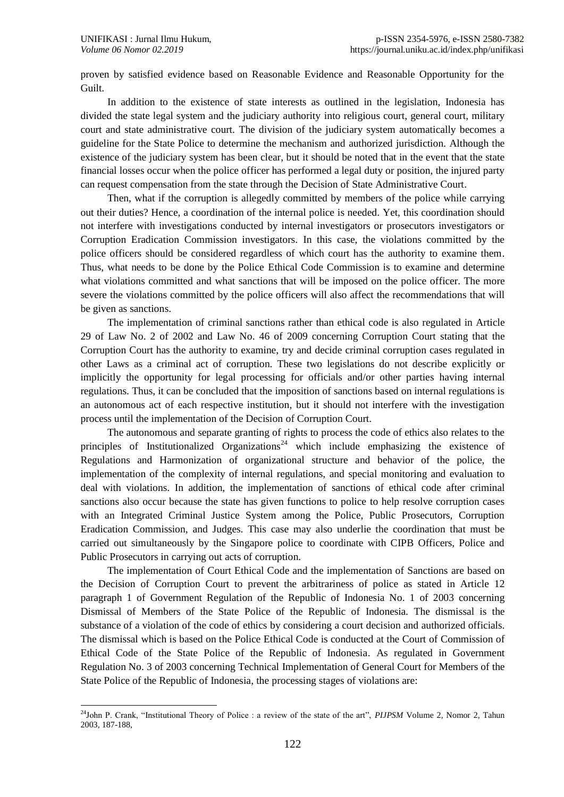proven by satisfied evidence based on Reasonable Evidence and Reasonable Opportunity for the Guilt.

In addition to the existence of state interests as outlined in the legislation, Indonesia has divided the state legal system and the judiciary authority into religious court, general court, military court and state administrative court. The division of the judiciary system automatically becomes a guideline for the State Police to determine the mechanism and authorized jurisdiction. Although the existence of the judiciary system has been clear, but it should be noted that in the event that the state financial losses occur when the police officer has performed a legal duty or position, the injured party can request compensation from the state through the Decision of State Administrative Court.

Then, what if the corruption is allegedly committed by members of the police while carrying out their duties? Hence, a coordination of the internal police is needed. Yet, this coordination should not interfere with investigations conducted by internal investigators or prosecutors investigators or Corruption Eradication Commission investigators. In this case, the violations committed by the police officers should be considered regardless of which court has the authority to examine them. Thus, what needs to be done by the Police Ethical Code Commission is to examine and determine what violations committed and what sanctions that will be imposed on the police officer. The more severe the violations committed by the police officers will also affect the recommendations that will be given as sanctions.

The implementation of criminal sanctions rather than ethical code is also regulated in Article 29 of Law No. 2 of 2002 and Law No. 46 of 2009 concerning Corruption Court stating that the Corruption Court has the authority to examine, try and decide criminal corruption cases regulated in other Laws as a criminal act of corruption. These two legislations do not describe explicitly or implicitly the opportunity for legal processing for officials and/or other parties having internal regulations. Thus, it can be concluded that the imposition of sanctions based on internal regulations is an autonomous act of each respective institution, but it should not interfere with the investigation process until the implementation of the Decision of Corruption Court.

The autonomous and separate granting of rights to process the code of ethics also relates to the principles of Institutionalized Organizations<sup>24</sup> which include emphasizing the existence of Regulations and Harmonization of organizational structure and behavior of the police, the implementation of the complexity of internal regulations, and special monitoring and evaluation to deal with violations. In addition, the implementation of sanctions of ethical code after criminal sanctions also occur because the state has given functions to police to help resolve corruption cases with an Integrated Criminal Justice System among the Police, Public Prosecutors, Corruption Eradication Commission, and Judges. This case may also underlie the coordination that must be carried out simultaneously by the Singapore police to coordinate with CIPB Officers, Police and Public Prosecutors in carrying out acts of corruption.

The implementation of Court Ethical Code and the implementation of Sanctions are based on the Decision of Corruption Court to prevent the arbitrariness of police as stated in Article 12 paragraph 1 of Government Regulation of the Republic of Indonesia No. 1 of 2003 concerning Dismissal of Members of the State Police of the Republic of Indonesia. The dismissal is the substance of a violation of the code of ethics by considering a court decision and authorized officials. The dismissal which is based on the Police Ethical Code is conducted at the Court of Commission of Ethical Code of the State Police of the Republic of Indonesia. As regulated in Government Regulation No. 3 of 2003 concerning Technical Implementation of General Court for Members of the State Police of the Republic of Indonesia, the processing stages of violations are:

<sup>1</sup> <sup>24</sup>John P. Crank, "Institutional Theory of Police : a review of the state of the art", *PIJPSM* Volume 2, Nomor 2, Tahun 2003, 187-188,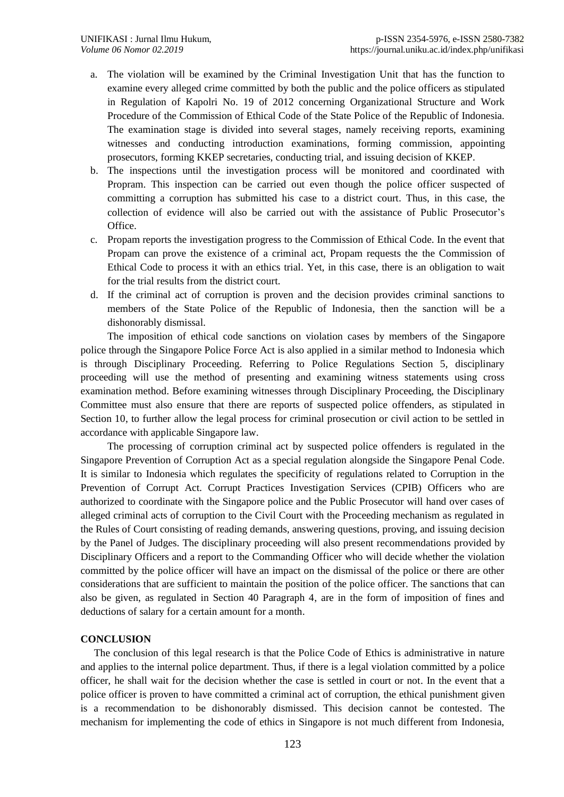- a. The violation will be examined by the Criminal Investigation Unit that has the function to examine every alleged crime committed by both the public and the police officers as stipulated in Regulation of Kapolri No. 19 of 2012 concerning Organizational Structure and Work Procedure of the Commission of Ethical Code of the State Police of the Republic of Indonesia. The examination stage is divided into several stages, namely receiving reports, examining witnesses and conducting introduction examinations, forming commission, appointing prosecutors, forming KKEP secretaries, conducting trial, and issuing decision of KKEP.
- b. The inspections until the investigation process will be monitored and coordinated with Propram. This inspection can be carried out even though the police officer suspected of committing a corruption has submitted his case to a district court. Thus, in this case, the collection of evidence will also be carried out with the assistance of Public Prosecutor's Office.
- c. Propam reports the investigation progress to the Commission of Ethical Code. In the event that Propam can prove the existence of a criminal act, Propam requests the the Commission of Ethical Code to process it with an ethics trial. Yet, in this case, there is an obligation to wait for the trial results from the district court.
- d. If the criminal act of corruption is proven and the decision provides criminal sanctions to members of the State Police of the Republic of Indonesia, then the sanction will be a dishonorably dismissal.

The imposition of ethical code sanctions on violation cases by members of the Singapore police through the Singapore Police Force Act is also applied in a similar method to Indonesia which is through Disciplinary Proceeding. Referring to Police Regulations Section 5, disciplinary proceeding will use the method of presenting and examining witness statements using cross examination method. Before examining witnesses through Disciplinary Proceeding, the Disciplinary Committee must also ensure that there are reports of suspected police offenders, as stipulated in Section 10, to further allow the legal process for criminal prosecution or civil action to be settled in accordance with applicable Singapore law.

The processing of corruption criminal act by suspected police offenders is regulated in the Singapore Prevention of Corruption Act as a special regulation alongside the Singapore Penal Code*.*  It is similar to Indonesia which regulates the specificity of regulations related to Corruption in the Prevention of Corrupt Act. Corrupt Practices Investigation Services (CPIB) Officers who are authorized to coordinate with the Singapore police and the Public Prosecutor will hand over cases of alleged criminal acts of corruption to the Civil Court with the Proceeding mechanism as regulated in the Rules of Court consisting of reading demands, answering questions, proving, and issuing decision by the Panel of Judges. The disciplinary proceeding will also present recommendations provided by Disciplinary Officers and a report to the Commanding Officer who will decide whether the violation committed by the police officer will have an impact on the dismissal of the police or there are other considerations that are sufficient to maintain the position of the police officer. The sanctions that can also be given, as regulated in Section 40 Paragraph 4, are in the form of imposition of fines and deductions of salary for a certain amount for a month.

### **CONCLUSION**

The conclusion of this legal research is that the Police Code of Ethics is administrative in nature and applies to the internal police department. Thus, if there is a legal violation committed by a police officer, he shall wait for the decision whether the case is settled in court or not. In the event that a police officer is proven to have committed a criminal act of corruption, the ethical punishment given is a recommendation to be dishonorably dismissed. This decision cannot be contested. The mechanism for implementing the code of ethics in Singapore is not much different from Indonesia,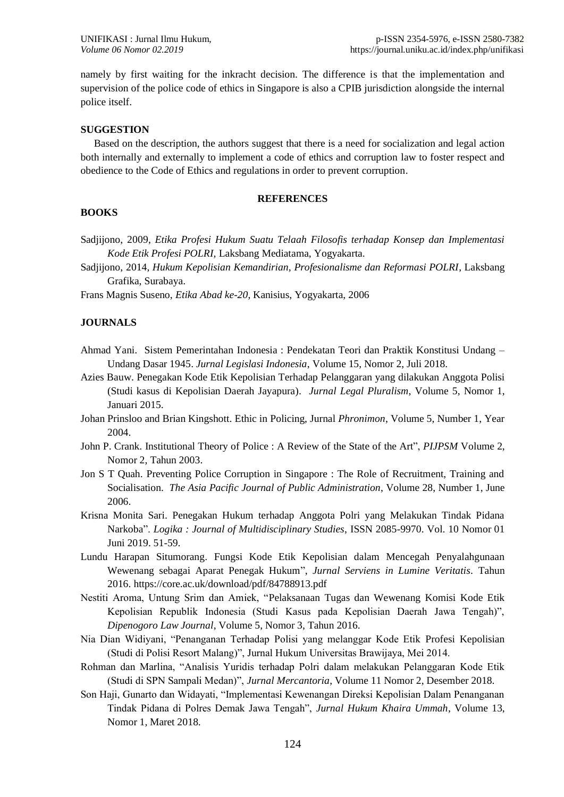namely by first waiting for the inkracht decision. The difference is that the implementation and supervision of the police code of ethics in Singapore is also a CPIB jurisdiction alongside the internal police itself.

#### **SUGGESTION**

Based on the description, the authors suggest that there is a need for socialization and legal action both internally and externally to implement a code of ethics and corruption law to foster respect and obedience to the Code of Ethics and regulations in order to prevent corruption.

#### **REFERENCES**

## **BOOKS**

Sadjijono, 2009, *Etika Profesi Hukum Suatu Telaah Filosofis terhadap Konsep dan Implementasi Kode Etik Profesi POLRI,* Laksbang Mediatama, Yogyakarta.

Sadjijono, 2014, *Hukum Kepolisian Kemandirian, Profesionalisme dan Reformasi POLRI*, Laksbang Grafika, Surabaya.

Frans Magnis Suseno, *Etika Abad ke-20*, Kanisius, Yogyakarta, 2006

### **JOURNALS**

- Ahmad Yani. Sistem Pemerintahan Indonesia : Pendekatan Teori dan Praktik Konstitusi Undang Undang Dasar 1945. *Jurnal Legislasi Indonesia*, Volume 15, Nomor 2, Juli 2018.
- Azies Bauw. Penegakan Kode Etik Kepolisian Terhadap Pelanggaran yang dilakukan Anggota Polisi (Studi kasus di Kepolisian Daerah Jayapura). *Jurnal Legal Pluralism*, Volume 5, Nomor 1, Januari 2015.
- Johan Prinsloo and Brian Kingshott. Ethic in Policing, Jurnal *Phronimon*, Volume 5, Number 1, Year 2004.
- John P. Crank. Institutional Theory of Police : A Review of the State of the Art", *PIJPSM* Volume 2, Nomor 2, Tahun 2003.
- Jon S T Quah. Preventing Police Corruption in Singapore : The Role of Recruitment, Training and Socialisation. *The Asia Pacific Journal of Public Administration*, Volume 28, Number 1, June 2006.
- Krisna Monita Sari. Penegakan Hukum terhadap Anggota Polri yang Melakukan Tindak Pidana Narkoba". *Logika : Journal of Multidisciplinary Studies*, ISSN 2085-9970. Vol. 10 Nomor 01 Juni 2019. 51-59.
- Lundu Harapan Situmorang. Fungsi Kode Etik Kepolisian dalam Mencegah Penyalahgunaan Wewenang sebagai Aparat Penegak Hukum", *Jurnal Serviens in Lumine Veritatis*. Tahun 2016. https://core.ac.uk/download/pdf/84788913.pdf
- Nestiti Aroma, Untung Srim dan Amiek, "Pelaksanaan Tugas dan Wewenang Komisi Kode Etik Kepolisian Republik Indonesia (Studi Kasus pada Kepolisian Daerah Jawa Tengah)", *Dipenogoro Law Journal*, Volume 5, Nomor 3, Tahun 2016.
- Nia Dian Widiyani, "Penanganan Terhadap Polisi yang melanggar Kode Etik Profesi Kepolisian (Studi di Polisi Resort Malang)", Jurnal Hukum Universitas Brawijaya, Mei 2014.
- Rohman dan Marlina, "Analisis Yuridis terhadap Polri dalam melakukan Pelanggaran Kode Etik (Studi di SPN Sampali Medan)", *Jurnal Mercantoria*, Volume 11 Nomor 2, Desember 2018.
- Son Haji, Gunarto dan Widayati, "Implementasi Kewenangan Direksi Kepolisian Dalam Penanganan Tindak Pidana di Polres Demak Jawa Tengah", *Jurnal Hukum Khaira Ummah*, Volume 13, Nomor 1, Maret 2018.